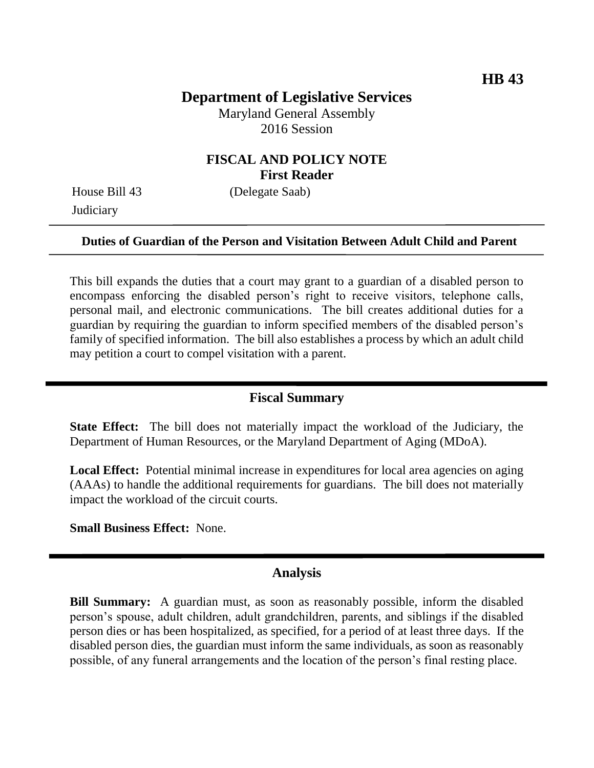# **Department of Legislative Services**

Maryland General Assembly 2016 Session

### **FISCAL AND POLICY NOTE First Reader**

House Bill 43 (Delegate Saab) **Judiciary** 

### **Duties of Guardian of the Person and Visitation Between Adult Child and Parent**

This bill expands the duties that a court may grant to a guardian of a disabled person to encompass enforcing the disabled person's right to receive visitors, telephone calls, personal mail, and electronic communications. The bill creates additional duties for a guardian by requiring the guardian to inform specified members of the disabled person's family of specified information. The bill also establishes a process by which an adult child may petition a court to compel visitation with a parent.

#### **Fiscal Summary**

**State Effect:** The bill does not materially impact the workload of the Judiciary, the Department of Human Resources, or the Maryland Department of Aging (MDoA).

**Local Effect:** Potential minimal increase in expenditures for local area agencies on aging (AAAs) to handle the additional requirements for guardians. The bill does not materially impact the workload of the circuit courts.

**Small Business Effect:** None.

#### **Analysis**

**Bill Summary:** A guardian must, as soon as reasonably possible, inform the disabled person's spouse, adult children, adult grandchildren, parents, and siblings if the disabled person dies or has been hospitalized, as specified, for a period of at least three days. If the disabled person dies, the guardian must inform the same individuals, as soon as reasonably possible, of any funeral arrangements and the location of the person's final resting place.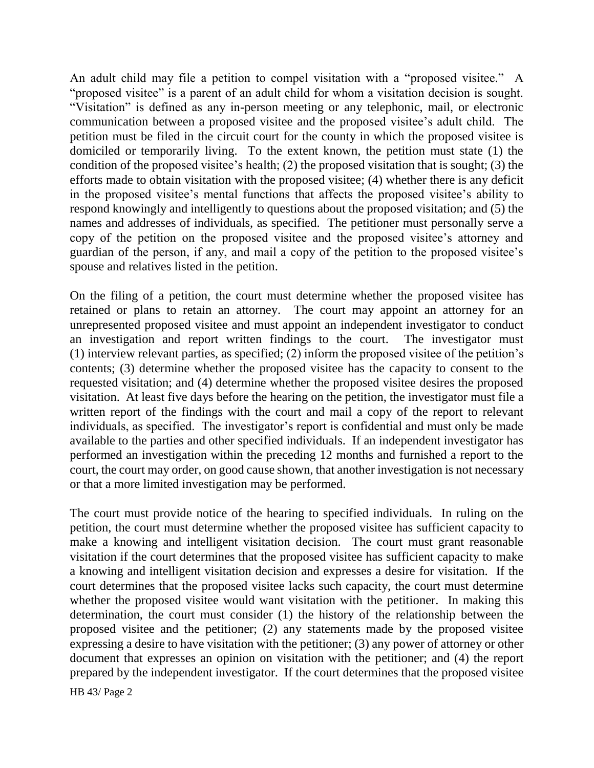An adult child may file a petition to compel visitation with a "proposed visitee." A "proposed visitee" is a parent of an adult child for whom a visitation decision is sought. "Visitation" is defined as any in-person meeting or any telephonic, mail, or electronic communication between a proposed visitee and the proposed visitee's adult child. The petition must be filed in the circuit court for the county in which the proposed visitee is domiciled or temporarily living. To the extent known, the petition must state (1) the condition of the proposed visitee's health; (2) the proposed visitation that is sought; (3) the efforts made to obtain visitation with the proposed visitee; (4) whether there is any deficit in the proposed visitee's mental functions that affects the proposed visitee's ability to respond knowingly and intelligently to questions about the proposed visitation; and (5) the names and addresses of individuals, as specified. The petitioner must personally serve a copy of the petition on the proposed visitee and the proposed visitee's attorney and guardian of the person, if any, and mail a copy of the petition to the proposed visitee's spouse and relatives listed in the petition.

On the filing of a petition, the court must determine whether the proposed visitee has retained or plans to retain an attorney. The court may appoint an attorney for an unrepresented proposed visitee and must appoint an independent investigator to conduct an investigation and report written findings to the court. The investigator must (1) interview relevant parties, as specified; (2) inform the proposed visitee of the petition's contents; (3) determine whether the proposed visitee has the capacity to consent to the requested visitation; and (4) determine whether the proposed visitee desires the proposed visitation. At least five days before the hearing on the petition, the investigator must file a written report of the findings with the court and mail a copy of the report to relevant individuals, as specified. The investigator's report is confidential and must only be made available to the parties and other specified individuals. If an independent investigator has performed an investigation within the preceding 12 months and furnished a report to the court, the court may order, on good cause shown, that another investigation is not necessary or that a more limited investigation may be performed.

The court must provide notice of the hearing to specified individuals. In ruling on the petition, the court must determine whether the proposed visitee has sufficient capacity to make a knowing and intelligent visitation decision. The court must grant reasonable visitation if the court determines that the proposed visitee has sufficient capacity to make a knowing and intelligent visitation decision and expresses a desire for visitation. If the court determines that the proposed visitee lacks such capacity, the court must determine whether the proposed visitee would want visitation with the petitioner. In making this determination, the court must consider (1) the history of the relationship between the proposed visitee and the petitioner; (2) any statements made by the proposed visitee expressing a desire to have visitation with the petitioner; (3) any power of attorney or other document that expresses an opinion on visitation with the petitioner; and (4) the report prepared by the independent investigator. If the court determines that the proposed visitee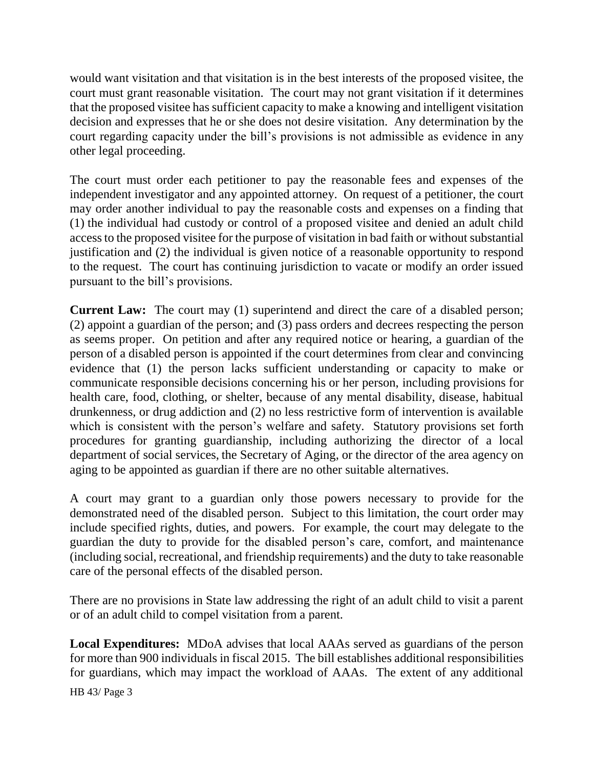would want visitation and that visitation is in the best interests of the proposed visitee, the court must grant reasonable visitation. The court may not grant visitation if it determines that the proposed visitee has sufficient capacity to make a knowing and intelligent visitation decision and expresses that he or she does not desire visitation. Any determination by the court regarding capacity under the bill's provisions is not admissible as evidence in any other legal proceeding.

The court must order each petitioner to pay the reasonable fees and expenses of the independent investigator and any appointed attorney. On request of a petitioner, the court may order another individual to pay the reasonable costs and expenses on a finding that (1) the individual had custody or control of a proposed visitee and denied an adult child access to the proposed visitee for the purpose of visitation in bad faith or without substantial justification and (2) the individual is given notice of a reasonable opportunity to respond to the request. The court has continuing jurisdiction to vacate or modify an order issued pursuant to the bill's provisions.

**Current Law:** The court may (1) superintend and direct the care of a disabled person; (2) appoint a guardian of the person; and (3) pass orders and decrees respecting the person as seems proper. On petition and after any required notice or hearing, a guardian of the person of a disabled person is appointed if the court determines from clear and convincing evidence that (1) the person lacks sufficient understanding or capacity to make or communicate responsible decisions concerning his or her person, including provisions for health care, food, clothing, or shelter, because of any mental disability, disease, habitual drunkenness, or drug addiction and (2) no less restrictive form of intervention is available which is consistent with the person's welfare and safety. Statutory provisions set forth procedures for granting guardianship, including authorizing the director of a local department of social services, the Secretary of Aging, or the director of the area agency on aging to be appointed as guardian if there are no other suitable alternatives.

A court may grant to a guardian only those powers necessary to provide for the demonstrated need of the disabled person. Subject to this limitation, the court order may include specified rights, duties, and powers. For example, the court may delegate to the guardian the duty to provide for the disabled person's care, comfort, and maintenance (including social, recreational, and friendship requirements) and the duty to take reasonable care of the personal effects of the disabled person.

There are no provisions in State law addressing the right of an adult child to visit a parent or of an adult child to compel visitation from a parent.

**Local Expenditures:** MDoA advises that local AAAs served as guardians of the person for more than 900 individuals in fiscal 2015. The bill establishes additional responsibilities for guardians, which may impact the workload of AAAs. The extent of any additional

HB 43/ Page 3